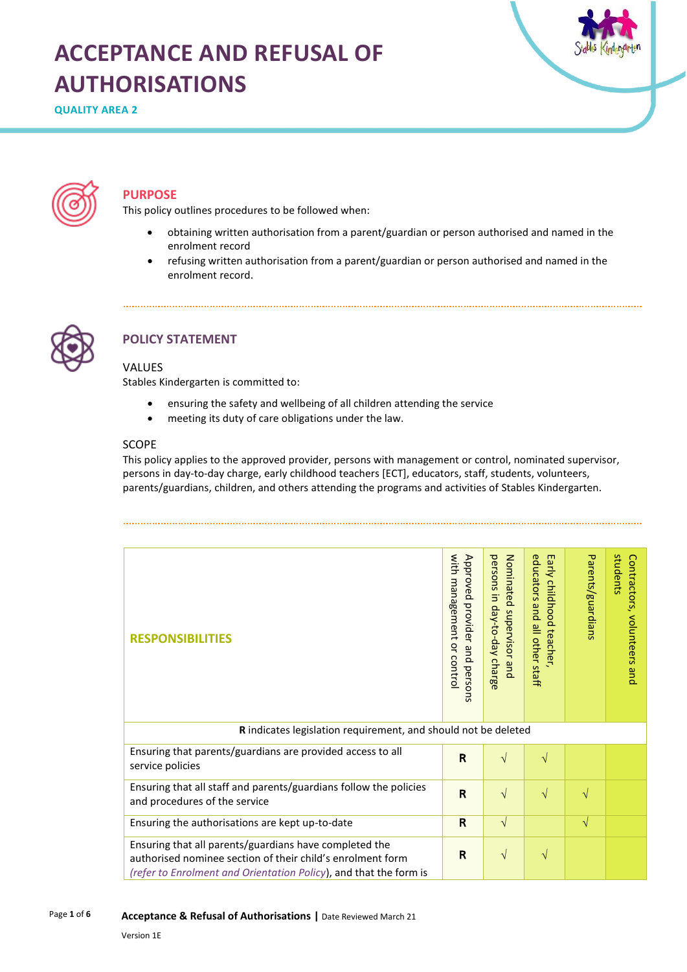# **ACCEPTANCE AND REFUSAL OF AUTHORISATIONS**

**QUALITY AREA 2**





# **PURPOSE**

This policy outlines procedures to be followed when:

- obtaining written authorisation from a parent/guardian or person authorised and named in the enrolment record
- refusing written authorisation from a parent/guardian or person authorised and named in the enrolment record.



# **POLICY STATEMENT**

## VALUES

Stables Kindergarten is committed to:

- ensuring the safety and wellbeing of all children attending the service
- meeting its duty of care obligations under the law.

## SCOPE

This policy applies to the approved provider, persons with management or control, nominated supervisor, persons in day-to-day charge, early childhood teachers [ECT], educators, staff, students, volunteers, parents/guardians, children, and others attending the programs and activities of Stables Kindergarten.

| <b>RESPONSIBILITIES</b>                                                                                                                                                                   | with management or contro<br>Approved<br>provider and persons | persons in day-to-day charge<br>Nominated supervisor and | educators and<br>Early childhood teacher<br>all other staff | Parents/guardians | students<br>Contractors, volunteers<br>pue |  |  |
|-------------------------------------------------------------------------------------------------------------------------------------------------------------------------------------------|---------------------------------------------------------------|----------------------------------------------------------|-------------------------------------------------------------|-------------------|--------------------------------------------|--|--|
| R indicates legislation requirement, and should not be deleted                                                                                                                            |                                                               |                                                          |                                                             |                   |                                            |  |  |
| Ensuring that parents/guardians are provided access to all<br>service policies                                                                                                            | R                                                             | $\sqrt{}$                                                | $\sqrt{}$                                                   |                   |                                            |  |  |
| Ensuring that all staff and parents/guardians follow the policies<br>and procedures of the service                                                                                        | $\overline{\mathsf{R}}$                                       | $\sqrt{}$                                                | $\sqrt{}$                                                   | V                 |                                            |  |  |
| Ensuring the authorisations are kept up-to-date                                                                                                                                           | R                                                             | $\sqrt{}$                                                |                                                             | $\sqrt{}$         |                                            |  |  |
| Ensuring that all parents/guardians have completed the<br>authorised nominee section of their child's enrolment form<br>(refer to Enrolment and Orientation Policy), and that the form is | R                                                             | $\sqrt{ }$                                               | $\sqrt{}$                                                   |                   |                                            |  |  |

Page **1** of **6 Acceptance & Refusal of Authorisations |** Date Reviewed March 21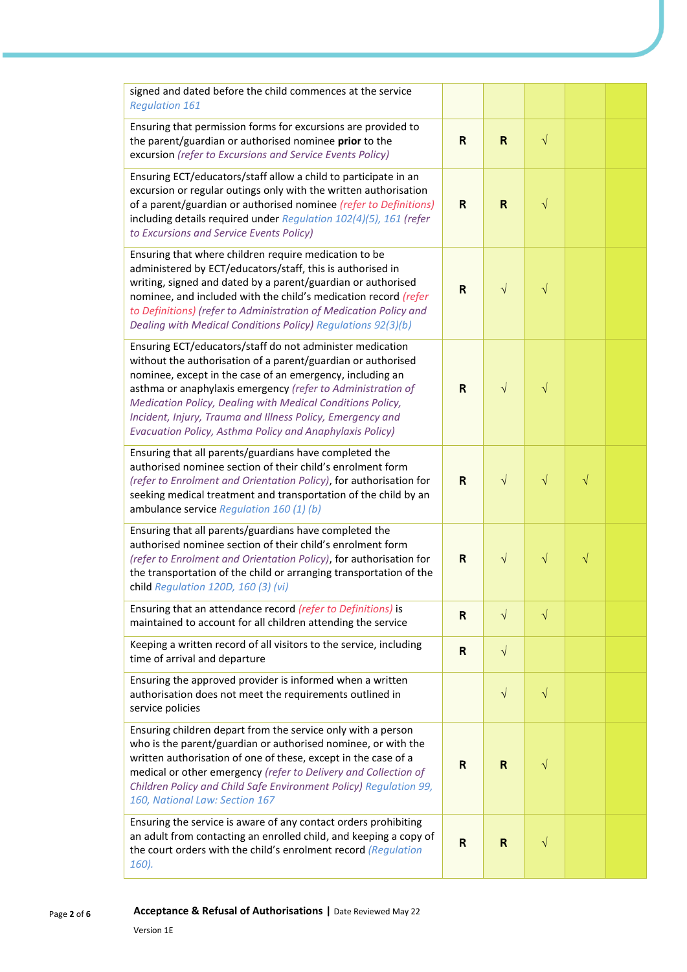| signed and dated before the child commences at the service<br><b>Regulation 161</b>                                                                                                                                                                                                                                                                                                                                                           |              |              |           |           |  |
|-----------------------------------------------------------------------------------------------------------------------------------------------------------------------------------------------------------------------------------------------------------------------------------------------------------------------------------------------------------------------------------------------------------------------------------------------|--------------|--------------|-----------|-----------|--|
| Ensuring that permission forms for excursions are provided to<br>the parent/guardian or authorised nominee prior to the<br>excursion (refer to Excursions and Service Events Policy)                                                                                                                                                                                                                                                          | $\mathsf{R}$ | $\mathsf{R}$ | $\sqrt{}$ |           |  |
| Ensuring ECT/educators/staff allow a child to participate in an<br>excursion or regular outings only with the written authorisation<br>of a parent/guardian or authorised nominee (refer to Definitions)<br>including details required under Regulation 102(4)(5), 161 (refer<br>to Excursions and Service Events Policy)                                                                                                                     | R            | $\mathsf{R}$ | $\sqrt{}$ |           |  |
| Ensuring that where children require medication to be<br>administered by ECT/educators/staff, this is authorised in<br>writing, signed and dated by a parent/guardian or authorised<br>nominee, and included with the child's medication record (refer<br>to Definitions) (refer to Administration of Medication Policy and<br>Dealing with Medical Conditions Policy) Regulations 92(3)(b)                                                   | R            | $\sqrt{ }$   | $\sqrt{}$ |           |  |
| Ensuring ECT/educators/staff do not administer medication<br>without the authorisation of a parent/guardian or authorised<br>nominee, except in the case of an emergency, including an<br>asthma or anaphylaxis emergency (refer to Administration of<br>Medication Policy, Dealing with Medical Conditions Policy,<br>Incident, Injury, Trauma and Illness Policy, Emergency and<br>Evacuation Policy, Asthma Policy and Anaphylaxis Policy) | $\mathsf{R}$ | $\sqrt{ }$   | $\sqrt{}$ |           |  |
| Ensuring that all parents/guardians have completed the<br>authorised nominee section of their child's enrolment form<br>(refer to Enrolment and Orientation Policy), for authorisation for<br>seeking medical treatment and transportation of the child by an<br>ambulance service Regulation 160 (1) (b)                                                                                                                                     | R            | $\sqrt{}$    | $\sqrt{}$ | $\sqrt{}$ |  |
| Ensuring that all parents/guardians have completed the<br>authorised nominee section of their child's enrolment form<br>(refer to Enrolment and Orientation Policy), for authorisation for<br>the transportation of the child or arranging transportation of the<br>child Regulation 120D, 160 (3) (vi)                                                                                                                                       | R            | $\sqrt{}$    | $\sqrt{}$ | $\sqrt{}$ |  |
| Ensuring that an attendance record (refer to Definitions) is<br>maintained to account for all children attending the service                                                                                                                                                                                                                                                                                                                  | R            | $\sqrt{}$    | $\sqrt{}$ |           |  |
| Keeping a written record of all visitors to the service, including<br>time of arrival and departure                                                                                                                                                                                                                                                                                                                                           | $\mathsf{R}$ | $\sqrt{}$    |           |           |  |
| Ensuring the approved provider is informed when a written<br>authorisation does not meet the requirements outlined in<br>service policies                                                                                                                                                                                                                                                                                                     |              | $\sqrt{}$    | $\sqrt{}$ |           |  |
| Ensuring children depart from the service only with a person<br>who is the parent/guardian or authorised nominee, or with the<br>written authorisation of one of these, except in the case of a<br>medical or other emergency (refer to Delivery and Collection of<br>Children Policy and Child Safe Environment Policy) Regulation 99,<br>160, National Law: Section 167                                                                     | R            | $\mathsf{R}$ | $\sqrt{}$ |           |  |
| Ensuring the service is aware of any contact orders prohibiting<br>an adult from contacting an enrolled child, and keeping a copy of<br>the court orders with the child's enrolment record (Regulation<br>160).                                                                                                                                                                                                                               | $\mathsf{R}$ | R            | V         |           |  |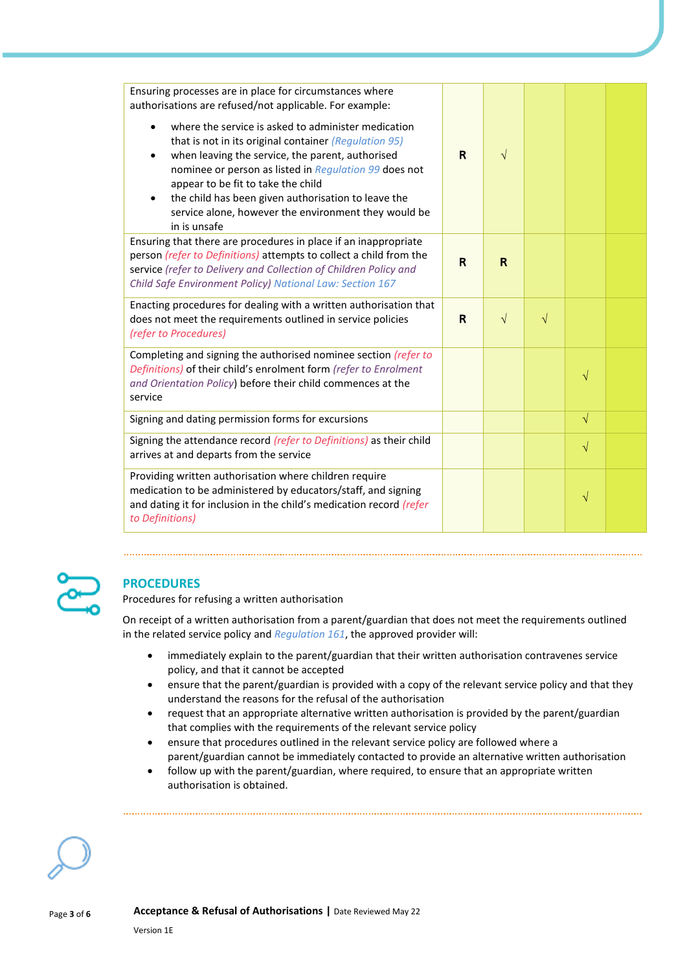| Ensuring processes are in place for circumstances where<br>authorisations are refused/not applicable. For example:<br>where the service is asked to administer medication<br>$\bullet$<br>that is not in its original container (Regulation 95)<br>when leaving the service, the parent, authorised<br>$\bullet$<br>nominee or person as listed in Regulation 99 does not<br>appear to be fit to take the child<br>the child has been given authorisation to leave the<br>$\bullet$<br>service alone, however the environment they would be<br>in is unsafe | $\mathbf R$ | $\sqrt{ }$ |           |           |  |
|-------------------------------------------------------------------------------------------------------------------------------------------------------------------------------------------------------------------------------------------------------------------------------------------------------------------------------------------------------------------------------------------------------------------------------------------------------------------------------------------------------------------------------------------------------------|-------------|------------|-----------|-----------|--|
| Ensuring that there are procedures in place if an inappropriate<br>person (refer to Definitions) attempts to collect a child from the<br>service (refer to Delivery and Collection of Children Policy and<br>Child Safe Environment Policy) National Law: Section 167                                                                                                                                                                                                                                                                                       | R           | R          |           |           |  |
| Enacting procedures for dealing with a written authorisation that<br>does not meet the requirements outlined in service policies<br>(refer to Procedures)                                                                                                                                                                                                                                                                                                                                                                                                   | R           | $\sqrt{ }$ | $\sqrt{}$ |           |  |
| Completing and signing the authorised nominee section (refer to<br>Definitions) of their child's enrolment form (refer to Enrolment<br>and Orientation Policy) before their child commences at the<br>service                                                                                                                                                                                                                                                                                                                                               |             |            |           | $\sqrt{}$ |  |
| Signing and dating permission forms for excursions                                                                                                                                                                                                                                                                                                                                                                                                                                                                                                          |             |            |           | $\sqrt{}$ |  |
| Signing the attendance record (refer to Definitions) as their child<br>arrives at and departs from the service                                                                                                                                                                                                                                                                                                                                                                                                                                              |             |            |           | $\sqrt{}$ |  |
| Providing written authorisation where children require<br>medication to be administered by educators/staff, and signing<br>and dating it for inclusion in the child's medication record (refer<br>to Definitions)                                                                                                                                                                                                                                                                                                                                           |             |            |           | $\sqrt{}$ |  |



# **PROCEDURES**

Procedures for refusing a written authorisation

On receipt of a written authorisation from a parent/guardian that does not meet the requirements outlined in the related service policy and *Regulation 161*, the approved provider will:

- immediately explain to the parent/guardian that their written authorisation contravenes service policy, and that it cannot be accepted
- ensure that the parent/guardian is provided with a copy of the relevant service policy and that they understand the reasons for the refusal of the authorisation
- request that an appropriate alternative written authorisation is provided by the parent/guardian that complies with the requirements of the relevant service policy
- ensure that procedures outlined in the relevant service policy are followed where a parent/guardian cannot be immediately contacted to provide an alternative written authorisation
- follow up with the parent/guardian, where required, to ensure that an appropriate written authorisation is obtained.

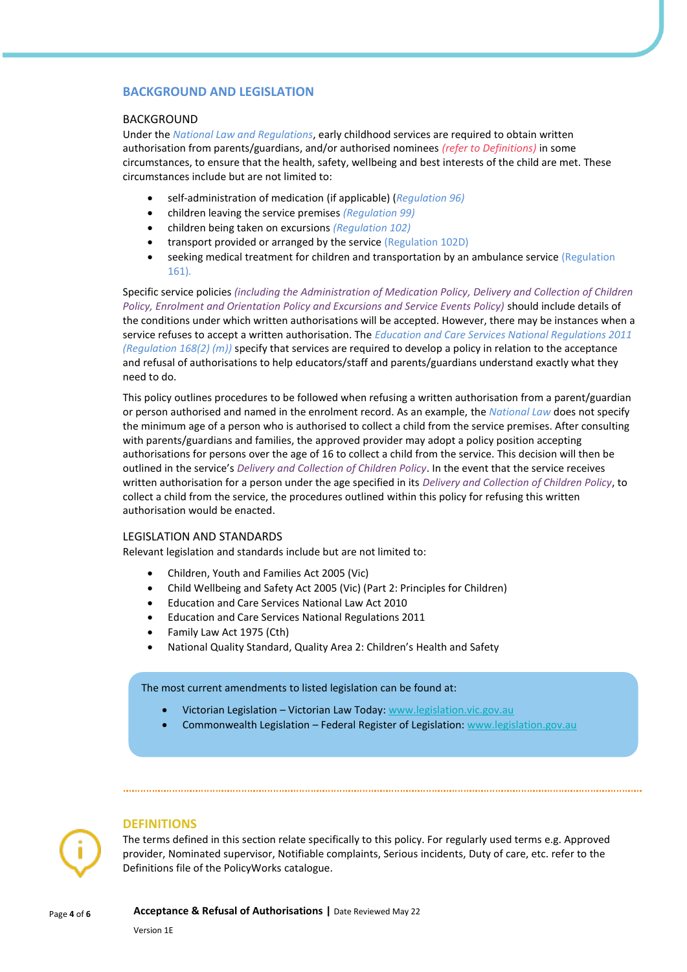## **BACKGROUND AND LEGISLATION**

#### BACKGROUND

Under the *National Law and Regulations*, early childhood services are required to obtain written authorisation from parents/guardians, and/or authorised nominees *(refer to Definitions)* in some circumstances, to ensure that the health, safety, wellbeing and best interests of the child are met. These circumstances include but are not limited to:

- self-administration of medication (if applicable) (*Regulation 96)*
- children leaving the service premises *(Regulation 99)*
- children being taken on excursions *(Regulation 102)*
- transport provided or arranged by the service (Regulation 102D)
- seeking medical treatment for children and transportation by an ambulance service (Regulation 161)*.*

Specific service policies *(including the Administration of Medication Policy, Delivery and Collection of Children Policy, Enrolment and Orientation Policy and Excursions and Service Events Policy)* should include details of the conditions under which written authorisations will be accepted. However, there may be instances when a service refuses to accept a written authorisation. The *Education and Care Services National Regulations 2011 (Regulation 168(2) (m))* specify that services are required to develop a policy in relation to the acceptance and refusal of authorisations to help educators/staff and parents/guardians understand exactly what they need to do.

This policy outlines procedures to be followed when refusing a written authorisation from a parent/guardian or person authorised and named in the enrolment record. As an example, the *National Law* does not specify the minimum age of a person who is authorised to collect a child from the service premises. After consulting with parents/guardians and families, the approved provider may adopt a policy position accepting authorisations for persons over the age of 16 to collect a child from the service. This decision will then be outlined in the service's *Delivery and Collection of Children Policy*. In the event that the service receives written authorisation for a person under the age specified in its *Delivery and Collection of Children Policy*, to collect a child from the service, the procedures outlined within this policy for refusing this written authorisation would be enacted.

#### LEGISLATION AND STANDARDS

Relevant legislation and standards include but are not limited to:

- Children, Youth and Families Act 2005 (Vic)
- Child Wellbeing and Safety Act 2005 (Vic) (Part 2: Principles for Children)
- Education and Care Services National Law Act 2010
- Education and Care Services National Regulations 2011
- Family Law Act 1975 (Cth)
- National Quality Standard, Quality Area 2: Children's Health and Safety

The most current amendments to listed legislation can be found at:

- Victorian Legislation Victorian Law Today: [www.legislation.vic.gov.au](http://www.legislation.vic.gov.au/)
- Commonwealth Legislation Federal Register of Legislation: [www.legislation.gov.au](http://www.legislation.gov.au/)

#### **DEFINITIONS**

The terms defined in this section relate specifically to this policy. For regularly used terms e.g. Approved provider, Nominated supervisor, Notifiable complaints, Serious incidents, Duty of care, etc. refer to the Definitions file of the PolicyWorks catalogue.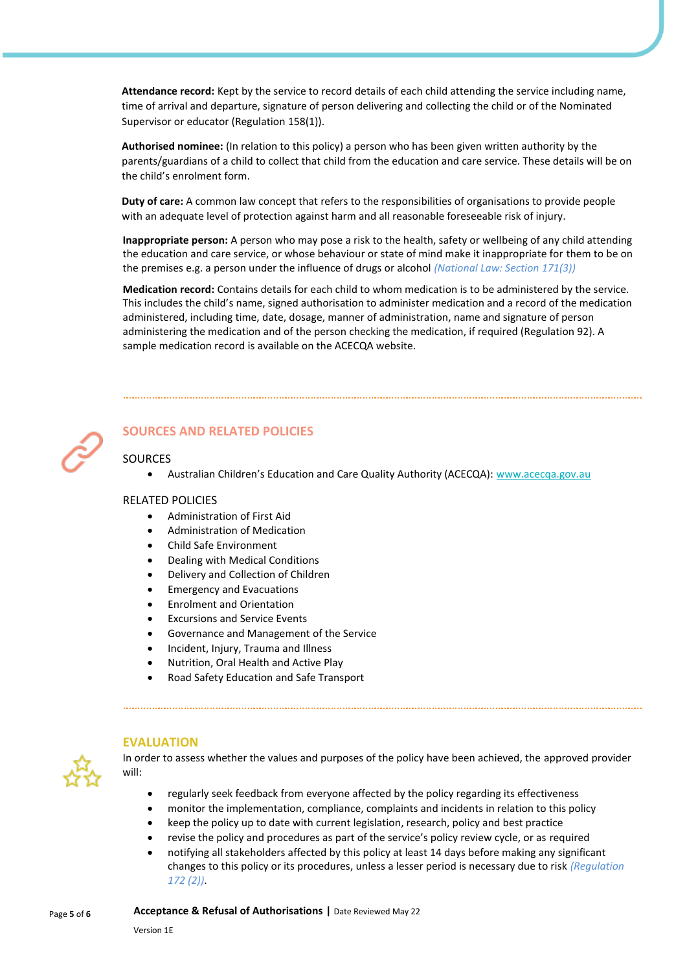**Attendance record:** Kept by the service to record details of each child attending the service including name, time of arrival and departure, signature of person delivering and collecting the child or of the Nominated Supervisor or educator (Regulation 158(1)).

**Authorised nominee:** (In relation to this policy) a person who has been given written authority by the parents/guardians of a child to collect that child from the education and care service. These details will be on the child's enrolment form.

**Duty of care:** A common law concept that refers to the responsibilities of organisations to provide people with an adequate level of protection against harm and all reasonable foreseeable risk of injury.

**Inappropriate person:** A person who may pose a risk to the health, safety or wellbeing of any child attending the education and care service, or whose behaviour or state of mind make it inappropriate for them to be on the premises e.g. a person under the influence of drugs or alcohol *(National Law: Section 171(3))*

**Medication record:** Contains details for each child to whom medication is to be administered by the service. This includes the child's name, signed authorisation to administer medication and a record of the medication administered, including time, date, dosage, manner of administration, name and signature of person administering the medication and of the person checking the medication, if required (Regulation 92). A sample medication record is available on the ACECQA website.



# **SOURCES AND RELATED POLICIES**

## SOURCES

• Australian Children's Education and Care Quality Authority (ACECQA): [www.acecqa.gov.au](https://www.acecqa.gov.au/)

## RELATED POLICIES

- Administration of First Aid
- Administration of Medication
- Child Safe Environment
- Dealing with Medical Conditions
- Delivery and Collection of Children
- Emergency and Evacuations
- Enrolment and Orientation
- **Excursions and Service Events**
- Governance and Management of the Service
- Incident, Injury, Trauma and Illness
- Nutrition, Oral Health and Active Play
- Road Safety Education and Safe Transport



#### **EVALUATION**

In order to assess whether the values and purposes of the policy have been achieved, the approved provider will:

- regularly seek feedback from everyone affected by the policy regarding its effectiveness
- monitor the implementation, compliance, complaints and incidents in relation to this policy
- keep the policy up to date with current legislation, research, policy and best practice
- revise the policy and procedures as part of the service's policy review cycle, or as required
- notifying all stakeholders affected by this policy at least 14 days before making any significant changes to this policy or its procedures, unless a lesser period is necessary due to risk *(Regulation 172 (2))*.

Page **<sup>5</sup>** of **<sup>6</sup> Acceptance & Refusal of Authorisations |** Date Reviewed May 22